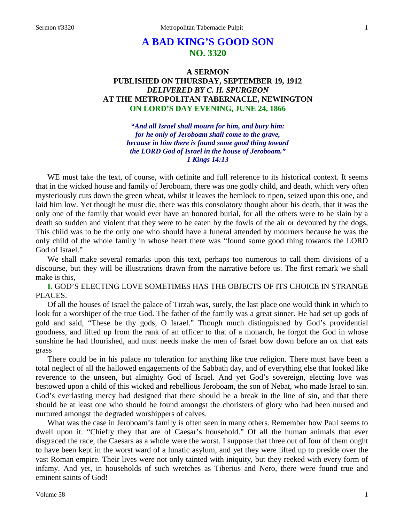# **A BAD KING'S GOOD SON NO. 3320**

# **A SERMON PUBLISHED ON THURSDAY, SEPTEMBER 19, 1912** *DELIVERED BY C. H. SPURGEON* **AT THE METROPOLITAN TABERNACLE, NEWINGTON ON LORD'S DAY EVENING, JUNE 24, 1866**

*"And all Israel shall mourn for him, and bury him: for he only of Jeroboam shall come to the grave, because in him there is found some good thing toward the LORD God of Israel in the house of Jeroboam." 1 Kings 14:13*

WE must take the text, of course, with definite and full reference to its historical context. It seems that in the wicked house and family of Jeroboam, there was one godly child, and death, which very often mysteriously cuts down the green wheat, whilst it leaves the hemlock to ripen, seized upon this one, and laid him low. Yet though he must die, there was this consolatory thought about his death, that it was the only one of the family that would ever have an honored burial, for all the others were to be slain by a death so sudden and violent that they were to be eaten by the fowls of the air or devoured by the dogs, This child was to be the only one who should have a funeral attended by mourners because he was the only child of the whole family in whose heart there was "found some good thing towards the LORD God of Israel."

We shall make several remarks upon this text, perhaps too numerous to call them divisions of a discourse, but they will be illustrations drawn from the narrative before us. The first remark we shall make is this,

**I.** GOD'S ELECTING LOVE SOMETIMES HAS THE OBJECTS OF ITS CHOICE IN STRANGE PLACES.

Of all the houses of Israel the palace of Tirzah was, surely, the last place one would think in which to look for a worshiper of the true God. The father of the family was a great sinner. He had set up gods of gold and said, "These be thy gods, O Israel." Though much distinguished by God's providential goodness, and lifted up from the rank of an officer to that of a monarch, he forgot the God in whose sunshine he had flourished, and must needs make the men of Israel bow down before an ox that eats grass

There could be in his palace no toleration for anything like true religion. There must have been a total neglect of all the hallowed engagements of the Sabbath day, and of everything else that looked like reverence to the unseen, but almighty God of Israel. And yet God's sovereign, electing love was bestowed upon a child of this wicked and rebellious Jeroboam, the son of Nebat, who made Israel to sin. God's everlasting mercy had designed that there should be a break in the line of sin, and that there should be at least one who should be found amongst the choristers of glory who had been nursed and nurtured amongst the degraded worshippers of calves.

What was the case in Jeroboam's family is often seen in many others. Remember how Paul seems to dwell upon it. "Chiefly they that are of Caesar's household." Of all the human animals that ever disgraced the race, the Caesars as a whole were the worst. I suppose that three out of four of them ought to have been kept in the worst ward of a lunatic asylum, and yet they were lifted up to preside over the vast Roman empire. Their lives were not only tainted with iniquity, but they reeked with every form of infamy. And yet, in households of such wretches as Tiberius and Nero, there were found true and eminent saints of God!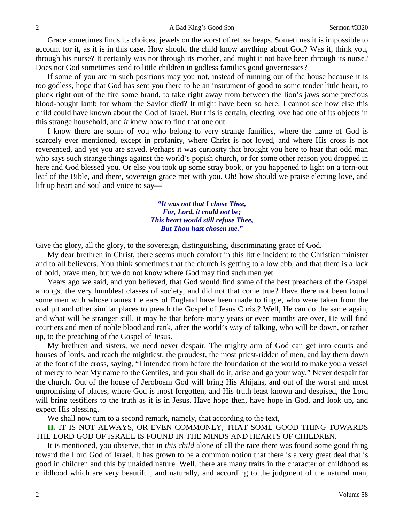Grace sometimes finds its choicest jewels on the worst of refuse heaps. Sometimes it is impossible to account for it, as it is in this case. How should the child know anything about God? Was it, think you, through his nurse? It certainly was not through its mother, and might it not have been through its nurse? Does not God sometimes send to little children in godless families good governesses?

If some of you are in such positions may you not, instead of running out of the house because it is too godless, hope that God has sent you there to be an instrument of good to some tender little heart, to pluck right out of the fire some brand, to take right away from between the lion's jaws some precious blood-bought lamb for whom the Savior died? It might have been so here. I cannot see how else this child could have known about the God of Israel. But this is certain, electing love had one of its objects in this strange household, and *it* knew how to find that one out.

I know there are some of you who belong to very strange families, where the name of God is scarcely ever mentioned, except in profanity, where Christ is not loved, and where His cross is not reverenced, and yet you are saved. Perhaps it was curiosity that brought you here to hear that odd man who says such strange things against the world's popish church, or for some other reason you dropped in here and God blessed you. Or else you took up some stray book, or you happened to light on a torn-out leaf of the Bible, and there, sovereign grace met with you. Oh! how should we praise electing love, and lift up heart and soul and voice to say**—**

> *"It was not that I chose Thee, For, Lord, it could not be; This heart would still refuse Thee, But Thou hast chosen me."*

Give the glory, all the glory, to the sovereign, distinguishing, discriminating grace of God.

My dear brethren in Christ, there seems much comfort in this little incident to the Christian minister and to all believers. You think sometimes that the church is getting to a low ebb, and that there is a lack of bold, brave men, but we do not know where God may find such men yet.

Years ago we said, and you believed, that God would find some of the best preachers of the Gospel amongst the very humblest classes of society, and did not that come true? Have there not been found some men with whose names the ears of England have been made to tingle, who were taken from the coal pit and other similar places to preach the Gospel of Jesus Christ? Well, He can do the same again, and what will be stranger still, it may be that before many years or even months are over, He will find courtiers and men of noble blood and rank, after the world's way of talking, who will be down, or rather up, to the preaching of the Gospel of Jesus.

My brethren and sisters, we need never despair. The mighty arm of God can get into courts and houses of lords, and reach the mightiest, the proudest, the most priest-ridden of men, and lay them down at the foot of the cross, saying, "I intended from before the foundation of the world to make you a vessel of mercy to bear My name to the Gentiles, and you shall do it, arise and go your way." Never despair for the church. Out of the house of Jeroboam God will bring His Ahijahs, and out of the worst and most unpromising of places, where God is most forgotten, and His truth least known and despised, the Lord will bring testifiers to the truth as it is in Jesus. Have hope then, have hope in God, and look up, and expect His blessing.

We shall now turn to a second remark, namely, that according to the text,

**II.** IT IS NOT ALWAYS, OR EVEN COMMONLY, THAT SOME GOOD THING TOWARDS THE LORD GOD OF ISRAEL IS FOUND IN THE MINDS AND HEARTS OF CHILDREN.

It is mentioned, you observe, that in *this child* alone of all the race there was found some good thing toward the Lord God of Israel. It has grown to be a common notion that there is a very great deal that is good in children and this by unaided nature. Well, there are many traits in the character of childhood as childhood which are very beautiful, and naturally, and according to the judgment of the natural man,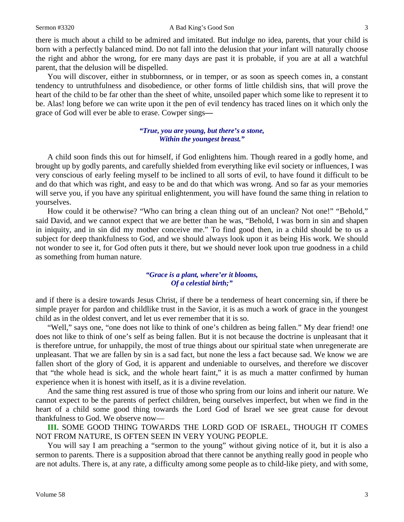there is much about a child to be admired and imitated. But indulge no idea, parents, that your child is born with a perfectly balanced mind. Do not fall into the delusion that *your* infant will naturally choose the right and abhor the wrong, for ere many days are past it is probable, if you are at all a watchful parent, that the delusion will be dispelled.

You will discover, either in stubbornness, or in temper, or as soon as speech comes in, a constant tendency to untruthfulness and disobedience, or other forms of little childish sins, that will prove the heart of the child to be far other than the sheet of white, unsoiled paper which some like to represent it to be. Alas! long before we can write upon it the pen of evil tendency has traced lines on it which only the grace of God will ever be able to erase. Cowper sings**—**

# *"True, you are young, but there's a stone, Within the youngest breast."*

A child soon finds this out for himself, if God enlightens him. Though reared in a godly home, and brought up by godly parents, and carefully shielded from everything like evil society or influences, I was very conscious of early feeling myself to be inclined to all sorts of evil, to have found it difficult to be and do that which was right, and easy to be and do that which was wrong. And so far as your memories will serve you, if you have any spiritual enlightenment, you will have found the same thing in relation to yourselves.

How could it be otherwise? "Who can bring a clean thing out of an unclean? Not one!" "Behold," said David, and we cannot expect that we are better than he was, "Behold, I was born in sin and shapen in iniquity, and in sin did my mother conceive me." To find good then, in a child should be to us a subject for deep thankfulness to God, and we should always look upon it as being His work. We should not wonder to see it, for God often puts it there, but we should never look upon true goodness in a child as something from human nature.

# *"Grace is a plant, where'er it blooms, Of a celestial birth;"*

and if there is a desire towards Jesus Christ, if there be a tenderness of heart concerning sin, if there be simple prayer for pardon and childlike trust in the Savior, it is as much a work of grace in the youngest child as in the oldest convert, and let us ever remember that it is so.

"Well," says one, "one does not like to think of one's children as being fallen." My dear friend! one does not like to think of one's self as being fallen. But it is not because the doctrine is unpleasant that it is therefore untrue, for unhappily, the most of true things about our spiritual state when unregenerate are unpleasant. That we are fallen by sin is a sad fact, but none the less a fact because sad. We know we are fallen short of the glory of God, it is apparent and undeniable to ourselves, and therefore we discover that "the whole head is sick, and the whole heart faint," it is as much a matter confirmed by human experience when it is honest with itself, as it is a divine revelation.

And the same thing rest assured is true of those who spring from our loins and inherit our nature. We cannot expect to be the parents of perfect children, being ourselves imperfect, but when we find in the heart of a child some good thing towards the Lord God of Israel we see great cause for devout thankfulness to God. We observe now—

**III.** SOME GOOD THING TOWARDS THE LORD GOD OF ISRAEL, THOUGH IT COMES NOT FROM NATURE, IS OFTEN SEEN IN VERY YOUNG PEOPLE.

You will say I am preaching a "sermon to the young" without giving notice of it, but it is also a sermon to parents. There is a supposition abroad that there cannot be anything really good in people who are not adults. There is, at any rate, a difficulty among some people as to child-like piety, and with some,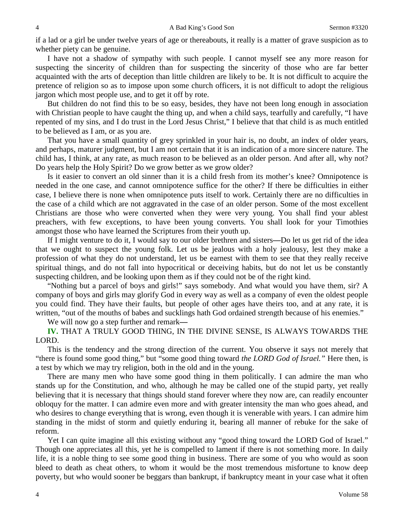if a lad or a girl be under twelve years of age or thereabouts, it really is a matter of grave suspicion as to whether piety can be genuine.

I have not a shadow of sympathy with such people. I cannot myself see any more reason for suspecting the sincerity of children than for suspecting the sincerity of those who are far better acquainted with the arts of deception than little children are likely to be. It is not difficult to acquire the pretence of religion so as to impose upon some church officers, it is not difficult to adopt the religious jargon which most people use, and to get it off by rote.

But children do not find this to be so easy, besides, they have not been long enough in association with Christian people to have caught the thing up, and when a child says, tearfully and carefully, "I have repented of my sins, and I do trust in the Lord Jesus Christ," I believe that that child is as much entitled to be believed as I am, or as you are.

That you have a small quantity of grey sprinkled in your hair is, no doubt, an index of older years, and perhaps, maturer judgment, but I am not certain that it is an indication of a more sincere nature. The child has, I think, at any rate, as much reason to be believed as an older person. And after all, why not? Do years help the Holy Spirit? Do we grow better as we grow older?

Is it easier to convert an old sinner than it is a child fresh from its mother's knee? Omnipotence is needed in the one case, and cannot omnipotence suffice for the other? If there be difficulties in either case, I believe there is none when omnipotence puts itself to work. Certainly there are no difficulties in the case of a child which are not aggravated in the case of an older person. Some of the most excellent Christians are those who were converted when they were very young. You shall find your ablest preachers, with few exceptions, to have been young converts. You shall look for your Timothies amongst those who have learned the Scriptures from their youth up.

If I might venture to do it, I would say to our older brethren and sisters**—**Do let us get rid of the idea that we ought to suspect the young folk. Let us be jealous with a holy jealousy, lest they make a profession of what they do not understand, let us be earnest with them to see that they really receive spiritual things, and do not fall into hypocritical or deceiving habits, but do not let us be constantly suspecting children, and be looking upon them as if they could not be of the right kind.

"Nothing but a parcel of boys and girls!" says somebody. And what would you have them, sir? A company of boys and girls may glorify God in every way as well as a company of even the oldest people you could find. They have their faults, but people of other ages have theirs too, and at any rate, it is written, "out of the mouths of babes and sucklings hath God ordained strength because of his enemies."

We will now go a step further and remark**—**

**IV.** THAT A TRULY GOOD THING, IN THE DIVINE SENSE, IS ALWAYS TOWARDS THE LORD.

This is the tendency and the strong direction of the current. You observe it says not merely that "there is found some good thing," but "some good thing toward *the LORD God of Israel."* Here then, is a test by which we may try religion, both in the old and in the young.

There are many men who have some good thing in them politically. I can admire the man who stands up for the Constitution, and who, although he may be called one of the stupid party, yet really believing that it is necessary that things should stand forever where they now are, can readily encounter obloquy for the matter. I can admire even more and with greater intensity the man who goes ahead, and who desires to change everything that is wrong, even though it is venerable with years. I can admire him standing in the midst of storm and quietly enduring it, bearing all manner of rebuke for the sake of reform.

Yet I can quite imagine all this existing without any "good thing toward the LORD God of Israel." Though one appreciates all this, yet he is compelled to lament if there is not something more. In daily life, it is a noble thing to see some good thing in business. There are some of you who would as soon bleed to death as cheat others, to whom it would be the most tremendous misfortune to know deep poverty, but who would sooner be beggars than bankrupt, if bankruptcy meant in your case what it often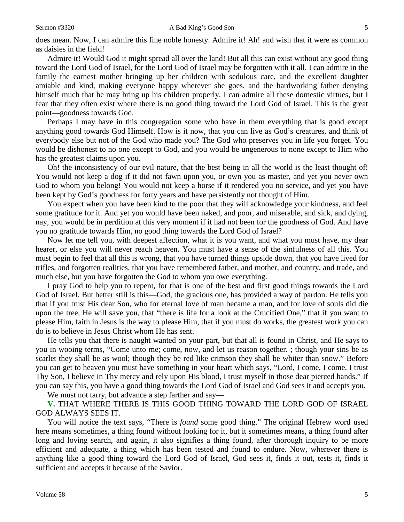#### Sermon #3320 **A Bad King's Good Son** 5

does mean. Now, I can admire this fine noble honesty. Admire it! Ah! and wish that it were as common as daisies in the field!

Admire it! Would God it might spread all over the land! But all this can exist without any good thing toward the Lord God of Israel, for the Lord God of Israel may be forgotten with it all. I can admire in the family the earnest mother bringing up her children with sedulous care, and the excellent daughter amiable and kind, making everyone happy wherever she goes, and the hardworking father denying himself much that he may bring up his children properly. I can admire all these domestic virtues, but I fear that they often exist where there is no good thing toward the Lord God of Israel. This is the great point**—**goodness towards God.

Perhaps I may have in this congregation some who have in them everything that is good except anything good towards God Himself. How is it now, that you can live as God's creatures, and think of everybody else but not of the God who made you? The God who preserves you in life you forget. You would be dishonest to no one except to God, and you would be ungenerous to none except to Him who has the greatest claims upon you.

Oh! the inconsistency of our evil nature, that the best being in all the world is the least thought of! You would not keep a dog if it did not fawn upon you, or own you as master, and yet you never own God to whom you belong! You would not keep a horse if it rendered you no service, and yet you have been kept by God's goodness for forty years and have persistently not thought of Him.

You expect when you have been kind to the poor that they will acknowledge your kindness, and feel some gratitude for it. And yet you would have been naked, and poor, and miserable, and sick, and dying, nay, you would be in perdition at this very moment if it had not been for the goodness of God. And have you no gratitude towards Him, no good thing towards the Lord God of Israel?

Now let me tell you, with deepest affection, what it is you want, and what you must have, my dear hearer, or else you will never reach heaven. You must have a sense of the sinfulness of all this. You must begin to feel that all this is wrong, that you have turned things upside down, that you have lived for trifles, and forgotten realities, that you have remembered father, and mother, and country, and trade, and much else, but you have forgotten the God to whom you owe everything.

I pray God to help you to repent, for that is one of the best and first good things towards the Lord God of Israel. But better still is this—God, the gracious one, has provided a way of pardon. He tells you that if you trust His dear Son, who for eternal love of man became a man, and for love of souls did die upon the tree, He will save you, that "there is life for a look at the Crucified One," that if you want to please Him, faith in Jesus is the way to please Him, that if you must do works, the greatest work you can do is to believe in Jesus Christ whom He has sent.

He tells you that there is naught wanted on your part, but that all is found in Christ, and He says to you in wooing terms, "Come unto me; come, now, and let us reason together. ; though your sins be as scarlet they shall be as wool; though they be red like crimson they shall be whiter than snow." Before you can get to heaven you must have something in your heart which says, "Lord, I come, I come, I trust Thy Son, I believe in Thy mercy and rely upon His blood, I trust myself in those dear pierced hands." If you can say this, you have a good thing towards the Lord God of Israel and God sees it and accepts you.

We must not tarry, but advance a step farther and say—

**V.** THAT WHERE THERE IS THIS GOOD THING TOWARD THE LORD GOD OF ISRAEL GOD ALWAYS SEES IT.

You will notice the text says, "There is *found* some good thing." The original Hebrew word used here means sometimes, a thing found without looking for it, but it sometimes means, a thing found after long and loving search, and again, it also signifies a thing found, after thorough inquiry to be more efficient and adequate, a thing which has been tested and found to endure. Now, wherever there is anything like a good thing toward the Lord God of Israel, God sees it, finds it out, tests it, finds it sufficient and accepts it because of the Savior.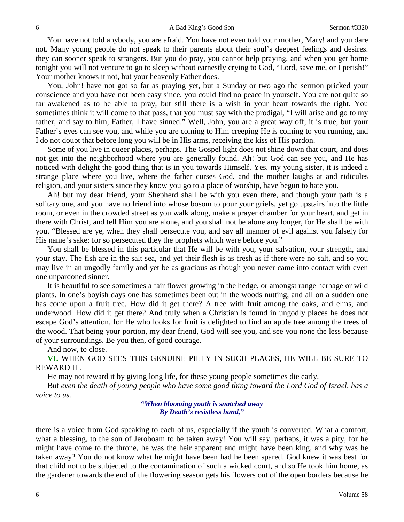You have not told anybody, you are afraid. You have not even told your mother, Mary! and you dare not. Many young people do not speak to their parents about their soul's deepest feelings and desires. they can sooner speak to strangers. But you do pray, you cannot help praying, and when you get home tonight you will not venture to go to sleep without earnestly crying to God, "Lord, save me, or I perish!" Your mother knows it not, but your heavenly Father does.

You, John! have not got so far as praying yet, but a Sunday or two ago the sermon pricked your conscience and you have not been easy since, you could find no peace in yourself. You are not quite so far awakened as to be able to pray, but still there is a wish in your heart towards the right. You sometimes think it will come to that pass, that you must say with the prodigal, "I will arise and go to my father, and say to him, Father, I have sinned." Well, John, you are a great way off, it is true, but your Father's eyes can see you, and while you are coming to Him creeping He is coming to you running, and I do not doubt that before long you will be in His arms, receiving the kiss of His pardon.

Some of you live in queer places, perhaps. The Gospel light does not shine down that court, and does not get into the neighborhood where you are generally found. Ah! but God can see you, and He has noticed with delight the good thing that is in you towards Himself. Yes, my young sister, it is indeed a strange place where you live, where the father curses God, and the mother laughs at and ridicules religion, and your sisters since they know you go to a place of worship, have begun to hate you.

Ah! but my dear friend, your Shepherd shall be with you even there, and though your path is a solitary one, and you have no friend into whose bosom to pour your griefs, yet go upstairs into the little room, or even in the crowded street as you walk along, make a prayer chamber for your heart, and get in there with Christ, and tell Him you are alone, and you shall not be alone any longer, for He shall be with you. "Blessed are ye, when they shall persecute you, and say all manner of evil against you falsely for His name's sake: for so persecuted they the prophets which were before you."

You shall be blessed in this particular that He will be with you, your salvation, your strength, and your stay. The fish are in the salt sea, and yet their flesh is as fresh as if there were no salt, and so you may live in an ungodly family and yet be as gracious as though you never came into contact with even one unpardoned sinner.

It is beautiful to see sometimes a fair flower growing in the hedge, or amongst range herbage or wild plants. In one's boyish days one has sometimes been out in the woods nutting, and all on a sudden one has come upon a fruit tree. How did it get there? A tree with fruit among the oaks, and elms, and underwood. How did it get there? And truly when a Christian is found in ungodly places he does not escape God's attention, for He who looks for fruit is delighted to find an apple tree among the trees of the wood. That being your portion, my dear friend, God will see you, and see you none the less because of your surroundings. Be you then, of good courage.

And now, to close.

**VI.** WHEN GOD SEES THIS GENUINE PIETY IN SUCH PLACES, HE WILL BE SURE TO REWARD IT.

He may not reward it by giving long life, for these young people sometimes die early.

But *even the death of young people who have some good thing toward the Lord God of Israel, has a voice to us.*

> *"When blooming youth is snatched away By Death's resistless hand,"*

there is a voice from God speaking to each of us, especially if the youth is converted. What a comfort, what a blessing, to the son of Jeroboam to be taken away! You will say, perhaps, it was a pity, for he might have come to the throne, he was the heir apparent and might have been king, and why was he taken away? You do not know what he might have been had he been spared. God knew it was best for that child not to be subjected to the contamination of such a wicked court, and so He took him home, as the gardener towards the end of the flowering season gets his flowers out of the open borders because he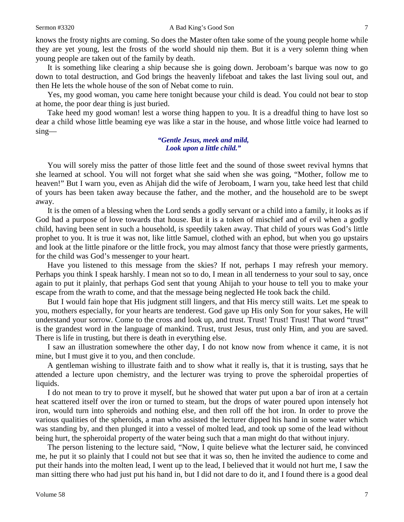knows the frosty nights are coming. So does the Master often take some of the young people home while they are yet young, lest the frosts of the world should nip them. But it is a very solemn thing when young people are taken out of the family by death.

It is something like clearing a ship because she is going down. Jeroboam's barque was now to go down to total destruction, and God brings the heavenly lifeboat and takes the last living soul out, and then He lets the whole house of the son of Nebat come to ruin.

Yes, my good woman, you came here tonight because your child is dead. You could not bear to stop at home, the poor dear thing is just buried.

Take heed my good woman! lest a worse thing happen to you. It is a dreadful thing to have lost so dear a child whose little beaming eye was like a star in the house, and whose little voice had learned to sing—

## *"Gentle Jesus, meek and mild, Look upon a little child."*

You will sorely miss the patter of those little feet and the sound of those sweet revival hymns that she learned at school. You will not forget what she said when she was going, "Mother, follow me to heaven!" But I warn you, even as Ahijah did the wife of Jeroboam, I warn you, take heed lest that child of yours has been taken away because the father, and the mother, and the household are to be swept away.

It is the omen of a blessing when the Lord sends a godly servant or a child into a family, it looks as if God had a purpose of love towards that house. But it is a token of mischief and of evil when a godly child, having been sent in such a household, is speedily taken away. That child of yours was God's little prophet to you. It is true it was not, like little Samuel, clothed with an ephod, but when you go upstairs and look at the little pinafore or the little frock, you may almost fancy that those were priestly garments, for the child was God's messenger to your heart.

Have you listened to this message from the skies? If not, perhaps I may refresh your memory. Perhaps you think I speak harshly. I mean not so to do, I mean in all tenderness to your soul to say, once again to put it plainly, that perhaps God sent that young Ahijah to your house to tell you to make your escape from the wrath to come, and that the message being neglected He took back the child.

But I would fain hope that His judgment still lingers, and that His mercy still waits. Let me speak to you, mothers especially, for your hearts are tenderest. God gave up His only Son for your sakes, He will understand your sorrow. Come to the cross and look up, and trust. Trust! Trust! Trust! That word "trust" is the grandest word in the language of mankind. Trust, trust Jesus, trust only Him, and you are saved. There is life in trusting, but there is death in everything else.

I saw an illustration somewhere the other day, I do not know now from whence it came, it is not mine, but I must give it to you, and then conclude.

A gentleman wishing to illustrate faith and to show what it really is, that it is trusting, says that he attended a lecture upon chemistry, and the lecturer was trying to prove the spheroidal properties of liquids.

I do not mean to try to prove it myself, but he showed that water put upon a bar of iron at a certain heat scattered itself over the iron or turned to steam, but the drops of water poured upon intensely hot iron, would turn into spheroids and nothing else, and then roll off the hot iron. In order to prove the various qualities of the spheroids, a man who assisted the lecturer dipped his hand in some water which was standing by, and then plunged it into a vessel of molted lead, and took up some of the lead without being hurt, the spheroidal property of the water being such that a man might do that without injury.

The person listening to the lecture said, "Now, I quite believe what the lecturer said, he convinced me, he put it so plainly that I could not but see that it was so, then he invited the audience to come and put their hands into the molten lead, I went up to the lead, I believed that it would not hurt me, I saw the man sitting there who had just put his hand in, but I did not dare to do it, and I found there is a good deal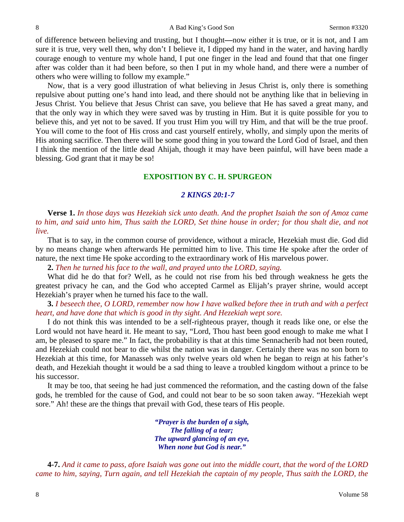of difference between believing and trusting, but I thought**—**now either it is true, or it is not, and I am sure it is true, very well then, why don't I believe it, I dipped my hand in the water, and having hardly courage enough to venture my whole hand, I put one finger in the lead and found that that one finger after was colder than it had been before, so then I put in my whole hand, and there were a number of others who were willing to follow my example."

Now, that is a very good illustration of what believing in Jesus Christ is, only there is something repulsive about putting one's hand into lead, and there should not be anything like that in believing in Jesus Christ. You believe that Jesus Christ can save, you believe that He has saved a great many, and that the only way in which they were saved was by trusting in Him. But it is quite possible for you to believe this, and yet not to be saved. If you trust Him you will try Him, and that will be the true proof. You will come to the foot of His cross and cast yourself entirely, wholly, and simply upon the merits of His atoning sacrifice. Then there will be some good thing in you toward the Lord God of Israel, and then I think the mention of the little dead Ahijah, though it may have been painful, will have been made a blessing. God grant that it may be so!

## **EXPOSITION BY C. H. SPURGEON**

# *2 KINGS 20:1-7*

**Verse 1.** *In those days was Hezekiah sick unto death. And the prophet Isaiah the son of Amoz came to him, and said unto him, Thus saith the LORD, Set thine house in order; for thou shalt die, and not live.*

That is to say, in the common course of providence, without a miracle, Hezekiah must die. God did by no means change when afterwards He permitted him to live. This time He spoke after the order of nature, the next time He spoke according to the extraordinary work of His marvelous power.

**2.** *Then he turned his face to the wall, and prayed unto the LORD, saying.*

What did he do that for? Well, as he could not rise from his bed through weakness he gets the greatest privacy he can, and the God who accepted Carmel as Elijah's prayer shrine, would accept Hezekiah's prayer when he turned his face to the wall.

**3.** *I beseech thee, O LORD, remember now how I have walked before thee in truth and with a perfect heart, and have done that which is good in thy sight. And Hezekiah wept sore.*

I do not think this was intended to be a self-righteous prayer, though it reads like one, or else the Lord would not have heard it. He meant to say, "Lord, Thou hast been good enough to make me what I am, be pleased to spare me." In fact, the probability is that at this time Sennacherib had not been routed, and Hezekiah could not bear to die whilst the nation was in danger. Certainly there was no son born to Hezekiah at this time, for Manasseh was only twelve years old when he began to reign at his father's death, and Hezekiah thought it would be a sad thing to leave a troubled kingdom without a prince to be his successor.

It may be too, that seeing he had just commenced the reformation, and the casting down of the false gods, he trembled for the cause of God, and could not bear to be so soon taken away. "Hezekiah wept sore." Ah! these are the things that prevail with God, these tears of His people.

> *"Prayer is the burden of a sigh, The falling of a tear; The upward glancing of an eye, When none but God is near."*

**4-7.** *And it came to pass, afore Isaiah was gone out into the middle court, that the word of the LORD came to him, saying, Turn again, and tell Hezekiah the captain of my people, Thus saith the LORD, the*